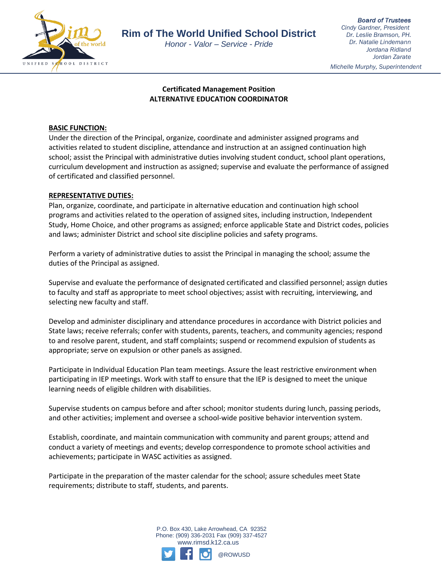

*Honor - Valor – Service - Pride*

*Board of Trustees Cindy Gardner, President Dr. Leslie Bramson, PH. Dr. Natalie Lindemann Jordana Ridland Jordan Zarate*

*Michelle Murphy, Superintendent*

# **Certificated Management Position ALTERNATIVE EDUCATION COORDINATOR**

### **BASIC FUNCTION:**

Under the direction of the Principal, organize, coordinate and administer assigned programs and activities related to student discipline, attendance and instruction at an assigned continuation high school; assist the Principal with administrative duties involving student conduct, school plant operations, curriculum development and instruction as assigned; supervise and evaluate the performance of assigned of certificated and classified personnel.

## **REPRESENTATIVE DUTIES:**

Plan, organize, coordinate, and participate in alternative education and continuation high school programs and activities related to the operation of assigned sites, including instruction, Independent Study, Home Choice, and other programs as assigned; enforce applicable State and District codes, policies and laws; administer District and school site discipline policies and safety programs.

Perform a variety of administrative duties to assist the Principal in managing the school; assume the duties of the Principal as assigned.

Supervise and evaluate the performance of designated certificated and classified personnel; assign duties to faculty and staff as appropriate to meet school objectives; assist with recruiting, interviewing, and selecting new faculty and staff.

Develop and administer disciplinary and attendance procedures in accordance with District policies and State laws; receive referrals; confer with students, parents, teachers, and community agencies; respond to and resolve parent, student, and staff complaints; suspend or recommend expulsion of students as appropriate; serve on expulsion or other panels as assigned.

Participate in Individual Education Plan team meetings. Assure the least restrictive environment when participating in IEP meetings. Work with staff to ensure that the IEP is designed to meet the unique learning needs of eligible children with disabilities.

Supervise students on campus before and after school; monitor students during lunch, passing periods, and other activities; implement and oversee a school-wide positive behavior intervention system.

Establish, coordinate, and maintain communication with community and parent groups; attend and conduct a variety of meetings and events; develop correspondence to promote school activities and achievements; participate in WASC activities as assigned.

Participate in the preparation of the master calendar for the school; assure schedules meet State requirements; distribute to staff, students, and parents.

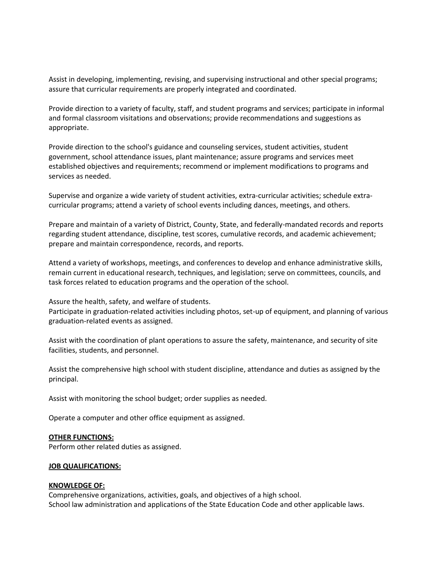Assist in developing, implementing, revising, and supervising instructional and other special programs; assure that curricular requirements are properly integrated and coordinated.

Provide direction to a variety of faculty, staff, and student programs and services; participate in informal and formal classroom visitations and observations; provide recommendations and suggestions as appropriate.

Provide direction to the school's guidance and counseling services, student activities, student government, school attendance issues, plant maintenance; assure programs and services meet established objectives and requirements; recommend or implement modifications to programs and services as needed.

Supervise and organize a wide variety of student activities, extra-curricular activities; schedule extracurricular programs; attend a variety of school events including dances, meetings, and others.

Prepare and maintain of a variety of District, County, State, and federally-mandated records and reports regarding student attendance, discipline, test scores, cumulative records, and academic achievement; prepare and maintain correspondence, records, and reports.

Attend a variety of workshops, meetings, and conferences to develop and enhance administrative skills, remain current in educational research, techniques, and legislation; serve on committees, councils, and task forces related to education programs and the operation of the school.

Assure the health, safety, and welfare of students.

Participate in graduation-related activities including photos, set-up of equipment, and planning of various graduation-related events as assigned.

Assist with the coordination of plant operations to assure the safety, maintenance, and security of site facilities, students, and personnel.

Assist the comprehensive high school with student discipline, attendance and duties as assigned by the principal.

Assist with monitoring the school budget; order supplies as needed.

Operate a computer and other office equipment as assigned.

#### **OTHER FUNCTIONS:**

Perform other related duties as assigned.

#### **JOB QUALIFICATIONS:**

#### **KNOWLEDGE OF:**

Comprehensive organizations, activities, goals, and objectives of a high school. School law administration and applications of the State Education Code and other applicable laws.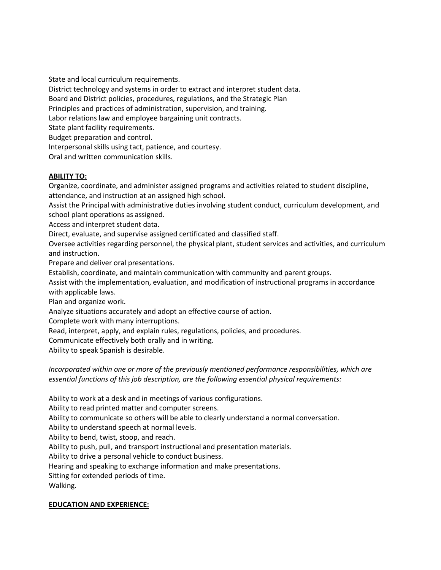State and local curriculum requirements. District technology and systems in order to extract and interpret student data. Board and District policies, procedures, regulations, and the Strategic Plan Principles and practices of administration, supervision, and training. Labor relations law and employee bargaining unit contracts. State plant facility requirements. Budget preparation and control. Interpersonal skills using tact, patience, and courtesy. Oral and written communication skills.

## **ABILITY TO:**

Organize, coordinate, and administer assigned programs and activities related to student discipline, attendance, and instruction at an assigned high school.

Assist the Principal with administrative duties involving student conduct, curriculum development, and school plant operations as assigned.

Access and interpret student data.

Direct, evaluate, and supervise assigned certificated and classified staff.

Oversee activities regarding personnel, the physical plant, student services and activities, and curriculum and instruction.

Prepare and deliver oral presentations.

Establish, coordinate, and maintain communication with community and parent groups.

Assist with the implementation, evaluation, and modification of instructional programs in accordance with applicable laws.

Plan and organize work.

Analyze situations accurately and adopt an effective course of action.

Complete work with many interruptions.

Read, interpret, apply, and explain rules, regulations, policies, and procedures.

Communicate effectively both orally and in writing.

Ability to speak Spanish is desirable.

*Incorporated within one or more of the previously mentioned performance responsibilities, which are essential functions of this job description, are the following essential physical requirements:*

Ability to work at a desk and in meetings of various configurations.

Ability to read printed matter and computer screens.

Ability to communicate so others will be able to clearly understand a normal conversation.

Ability to understand speech at normal levels.

Ability to bend, twist, stoop, and reach.

Ability to push, pull, and transport instructional and presentation materials.

Ability to drive a personal vehicle to conduct business.

Hearing and speaking to exchange information and make presentations.

Sitting for extended periods of time.

Walking.

### **EDUCATION AND EXPERIENCE:**